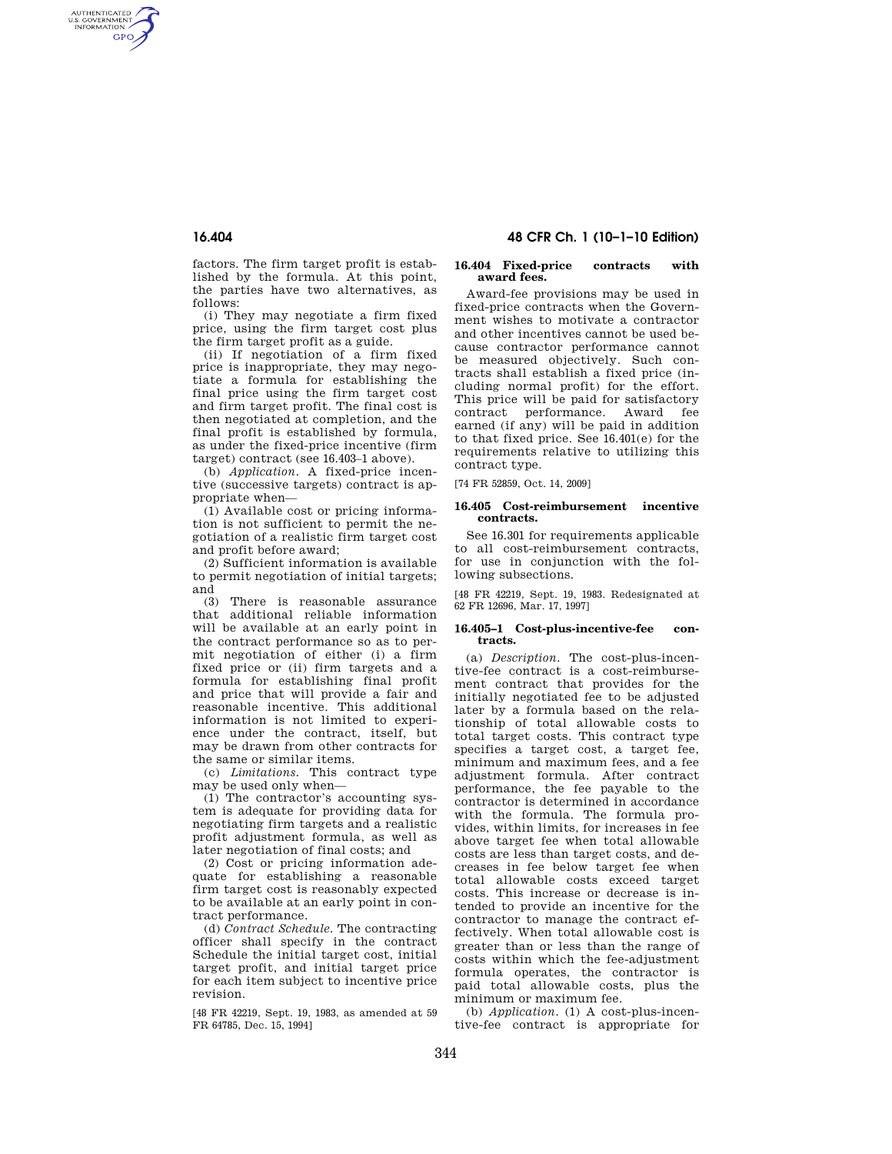AUTHENTICATED<br>U.S. GOVERNMENT<br>INFORMATION **GPO** 

**16.404 48 CFR Ch. 1 (10–1–10 Edition)** 

factors. The firm target profit is established by the formula. At this point, the parties have two alternatives, as follows:

(i) They may negotiate a firm fixed price, using the firm target cost plus the firm target profit as a guide.

(ii) If negotiation of a firm fixed price is inappropriate, they may negotiate a formula for establishing the final price using the firm target cost and firm target profit. The final cost is then negotiated at completion, and the final profit is established by formula, as under the fixed-price incentive (firm target) contract (see 16.403–1 above).

(b) *Application.* A fixed-price incentive (successive targets) contract is appropriate when—

(1) Available cost or pricing information is not sufficient to permit the negotiation of a realistic firm target cost and profit before award;

(2) Sufficient information is available to permit negotiation of initial targets; and

(3) There is reasonable assurance that additional reliable information will be available at an early point in the contract performance so as to permit negotiation of either (i) a firm fixed price or (ii) firm targets and a formula for establishing final profit and price that will provide a fair and reasonable incentive. This additional information is not limited to experience under the contract, itself, but may be drawn from other contracts for the same or similar items.

(c) *Limitations.* This contract type may be used only when—

(1) The contractor's accounting system is adequate for providing data for negotiating firm targets and a realistic profit adjustment formula, as well as later negotiation of final costs; and

(2) Cost or pricing information adequate for establishing a reasonable firm target cost is reasonably expected to be available at an early point in contract performance.

(d) *Contract Schedule.* The contracting officer shall specify in the contract Schedule the initial target cost, initial target profit, and initial target price for each item subject to incentive price revision.

[48 FR 42219, Sept. 19, 1983, as amended at 59 FR 64785, Dec. 15, 1994]

#### **16.404 Fixed-price contracts with award fees.**

Award-fee provisions may be used in fixed-price contracts when the Government wishes to motivate a contractor and other incentives cannot be used because contractor performance cannot be measured objectively. Such contracts shall establish a fixed price (including normal profit) for the effort. This price will be paid for satisfactory contract performance. Award fee earned (if any) will be paid in addition to that fixed price. See 16.401(e) for the requirements relative to utilizing this contract type.

[74 FR 52859, Oct. 14, 2009]

### **16.405 Cost-reimbursement incentive contracts.**

See 16.301 for requirements applicable to all cost-reimbursement contracts, for use in conjunction with the following subsections.

[48 FR 42219, Sept. 19, 1983. Redesignated at 62 FR 12696, Mar. 17, 1997]

### **16.405–1 Cost-plus-incentive-fee contracts.**

(a) *Description.* The cost-plus-incentive-fee contract is a cost-reimbursement contract that provides for the initially negotiated fee to be adjusted later by a formula based on the relationship of total allowable costs to total target costs. This contract type specifies a target cost, a target fee, minimum and maximum fees, and a fee adjustment formula. After contract performance, the fee payable to the contractor is determined in accordance with the formula. The formula provides, within limits, for increases in fee above target fee when total allowable costs are less than target costs, and decreases in fee below target fee when total allowable costs exceed target costs. This increase or decrease is intended to provide an incentive for the contractor to manage the contract effectively. When total allowable cost is greater than or less than the range of costs within which the fee-adjustment formula operates, the contractor is paid total allowable costs, plus the minimum or maximum fee.

(b) *Application.* (1) A cost-plus-incentive-fee contract is appropriate for